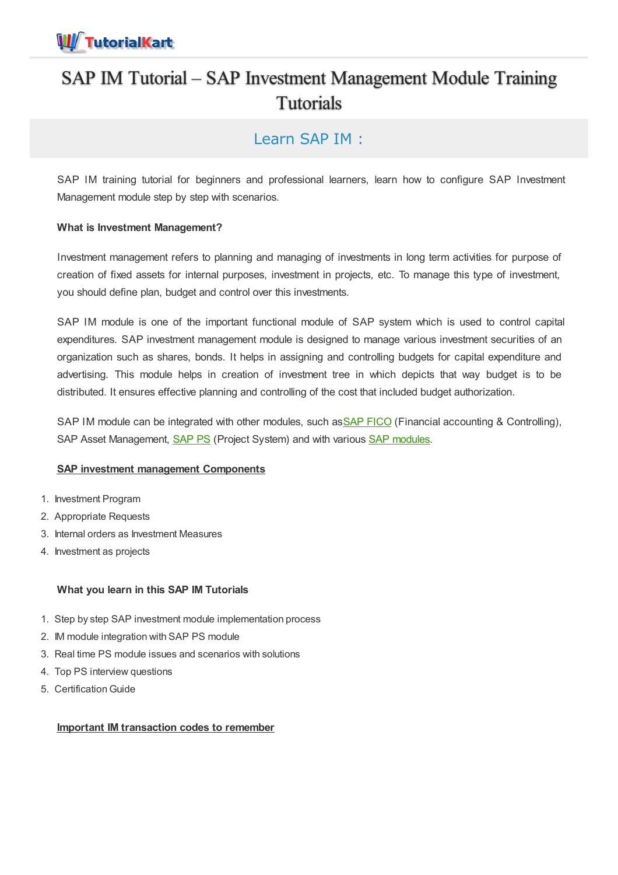

# SAP IM Tutorial – SAP Investment Management Module Training Tutorials

# Learn SAP IM :

SAP IM training tutorial for beginners and professional learners, learn how to configure SAP Investment Management module step by step with scenarios.

# **What is Investment Management?**

Investment management refers to planning and managing of investments in long term activities for purpose of creation of fixed assets for internal purposes, investment in projects, etc. To manage this type of investment, you should define plan, budget and control over this investments.

SAP IM module is one of the important functional module of SAP system which is used to control capital expenditures. SAP investment management module is designed to manage various investment securities of an organization such as shares, bonds. It helps in assigning and controlling budgets for capital expenditure and advertising. This module helps in creation of investment tree in which depicts that way budget is to be distributed. It ensures effective planning and controlling of the cost that included budget authorization.

SAP IM module can be integrated with other modules, such as SAP [FICO](https://www.tutorialkart.com/sap-fico/sap-fico-tutorial/) (Financial accounting & Controlling), [SAP](https://www.tutorialkart.com/sap-ps/sap-ps-training-tutorial/) Asset Management, **SAP PS** (Project System) and with various **SAP [modules](https://www.tutorialkart.com/sap/sap-modules-list/).** 

#### **SAP investment management Components**

- 1. Investment Program
- 2. Appropriate Requests
- 3. Internal orders as Investment Measures
- 4. Investment as projects

# **What you learn in this SAP IM Tutorials**

- 1. Step by step SAP investment module implementation process
- 2. IM module integration with SAP PS module
- 3. Real time PS module issues and scenarios with solutions
- 4. Top PS interview questions
- 5. Certification Guide

#### **Important IM transaction codes to remember**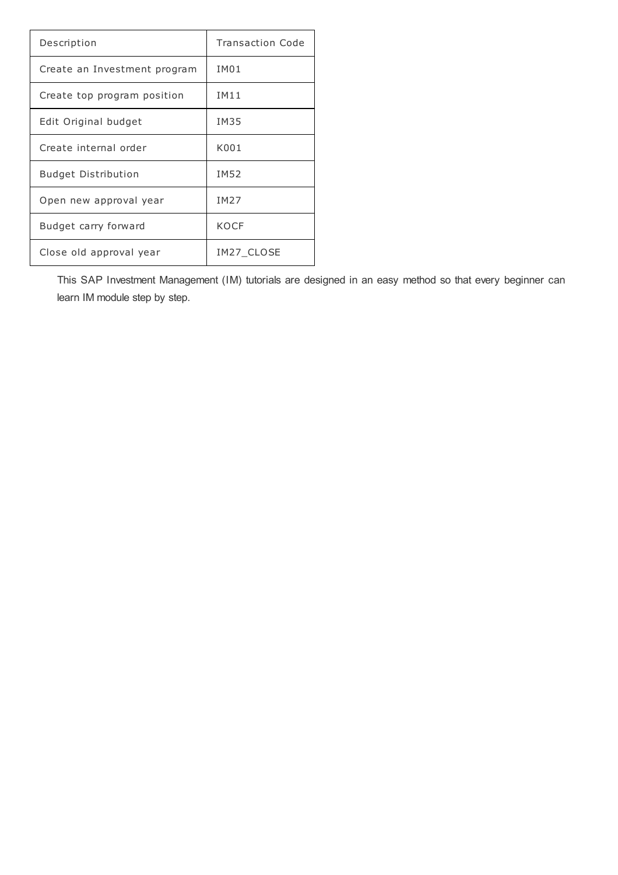| Description                  | <b>Transaction Code</b> |
|------------------------------|-------------------------|
| Create an Investment program | IM01                    |
| Create top program position  | IM11                    |
| Edit Original budget         | <b>IM35</b>             |
| Create internal order        | K001                    |
| <b>Budget Distribution</b>   | IM52                    |
| Open new approval year       | <b>IM27</b>             |
| Budget carry forward         | KOCF                    |
| Close old approval year      | IM27_CLOSE              |

This SAP Investment Management (IM) tutorials are designed in an easy method so that every beginner can learn IM module step by step.